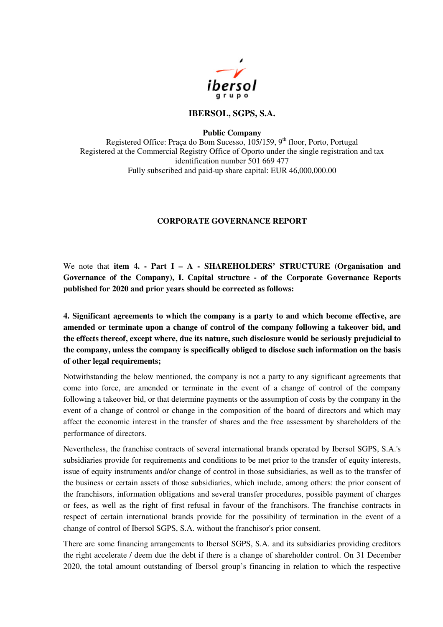

## **IBERSOL, SGPS, S.A.**

**Public Company** 

Registered Office: Praça do Bom Sucesso,  $10\frac{5}{159}$ , 9<sup>th</sup> floor, Porto, Portugal Registered at the Commercial Registry Office of Oporto under the single registration and tax identification number 501 669 477 Fully subscribed and paid-up share capital: EUR 46,000,000.00

## **CORPORATE GOVERNANCE REPORT**

We note that **item 4. - Part I – A - SHAREHOLDERS' STRUCTURE (Organisation and Governance of the Company), I. Capital structure - of the Corporate Governance Reports published for 2020 and prior years should be corrected as follows:**

**4. Significant agreements to which the company is a party to and which become effective, are amended or terminate upon a change of control of the company following a takeover bid, and the effects thereof, except where, due its nature, such disclosure would be seriously prejudicial to the company, unless the company is specifically obliged to disclose such information on the basis of other legal requirements;** 

Notwithstanding the below mentioned, the company is not a party to any significant agreements that come into force, are amended or terminate in the event of a change of control of the company following a takeover bid, or that determine payments or the assumption of costs by the company in the event of a change of control or change in the composition of the board of directors and which may affect the economic interest in the transfer of shares and the free assessment by shareholders of the performance of directors.

Nevertheless, the franchise contracts of several international brands operated by Ibersol SGPS, S.A.'s subsidiaries provide for requirements and conditions to be met prior to the transfer of equity interests, issue of equity instruments and/or change of control in those subsidiaries, as well as to the transfer of the business or certain assets of those subsidiaries, which include, among others: the prior consent of the franchisors, information obligations and several transfer procedures, possible payment of charges or fees, as well as the right of first refusal in favour of the franchisors. The franchise contracts in respect of certain international brands provide for the possibility of termination in the event of a change of control of Ibersol SGPS, S.A. without the franchisor's prior consent.

There are some financing arrangements to Ibersol SGPS, S.A. and its subsidiaries providing creditors the right accelerate / deem due the debt if there is a change of shareholder control. On 31 December 2020, the total amount outstanding of Ibersol group's financing in relation to which the respective